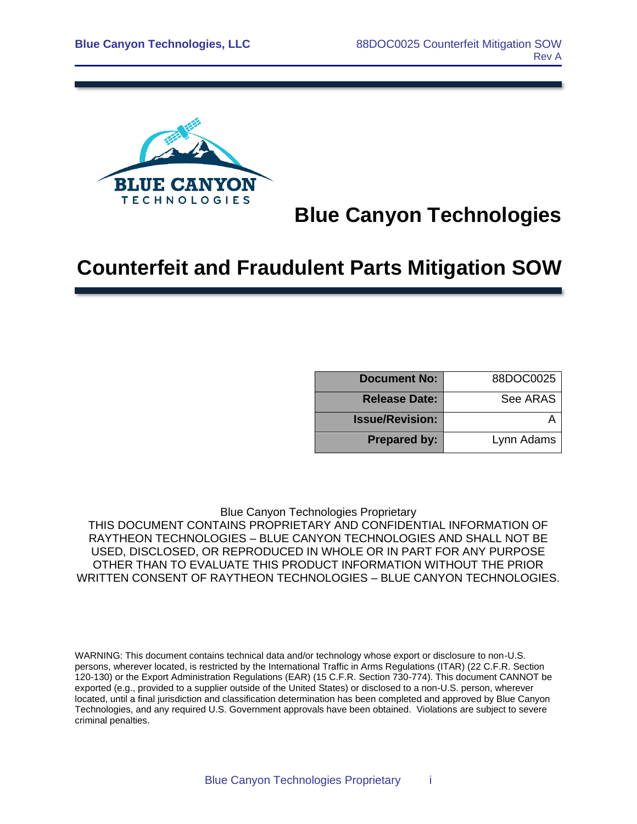

# **Blue Canyon Technologies**

# **Counterfeit and Fraudulent Parts Mitigation SOW**

| <b>Document No:</b>    | 88DOC0025  |
|------------------------|------------|
| <b>Release Date:</b>   | See ARAS   |
| <b>Issue/Revision:</b> |            |
| <b>Prepared by:</b>    | Lynn Adams |

Blue Canyon Technologies Proprietary

THIS DOCUMENT CONTAINS PROPRIETARY AND CONFIDENTIAL INFORMATION OF RAYTHEON TECHNOLOGIES – BLUE CANYON TECHNOLOGIES AND SHALL NOT BE USED, DISCLOSED, OR REPRODUCED IN WHOLE OR IN PART FOR ANY PURPOSE OTHER THAN TO EVALUATE THIS PRODUCT INFORMATION WITHOUT THE PRIOR WRITTEN CONSENT OF RAYTHEON TECHNOLOGIES – BLUE CANYON TECHNOLOGIES.

WARNING: This document contains technical data and/or technology whose export or disclosure to non-U.S. persons, wherever located, is restricted by the International Traffic in Arms Regulations (ITAR) (22 C.F.R. Section 120-130) or the Export Administration Regulations (EAR) (15 C.F.R. Section 730-774). This document CANNOT be exported (e.g., provided to a supplier outside of the United States) or disclosed to a non-U.S. person, wherever located, until a final jurisdiction and classification determination has been completed and approved by Blue Canyon Technologies, and any required U.S. Government approvals have been obtained. Violations are subject to severe criminal penalties.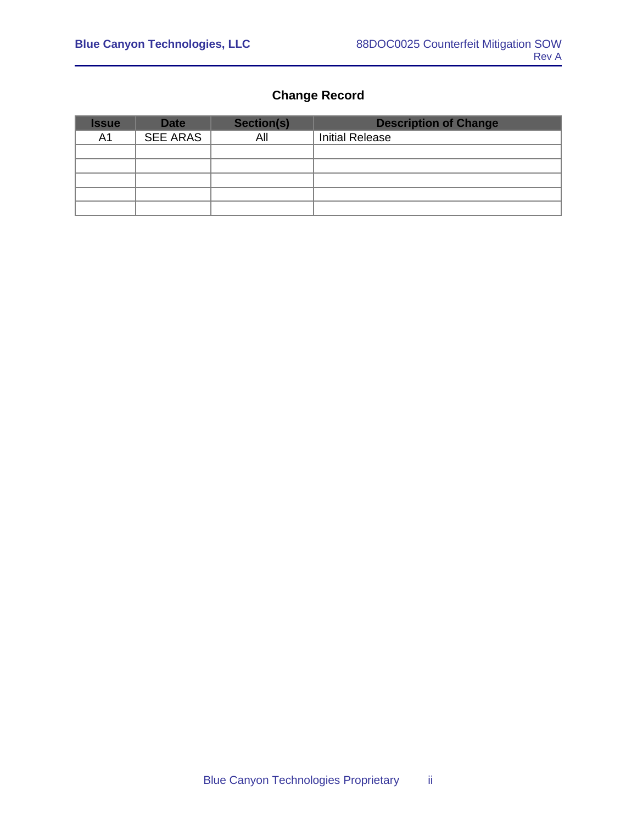#### **Change Record**

| <b>Issue</b>   | <b>Date</b>     | Section(s) | <b>Description of Change</b> |
|----------------|-----------------|------------|------------------------------|
| A <sub>1</sub> | <b>SEE ARAS</b> | All        | <b>Initial Release</b>       |
|                |                 |            |                              |
|                |                 |            |                              |
|                |                 |            |                              |
|                |                 |            |                              |
|                |                 |            |                              |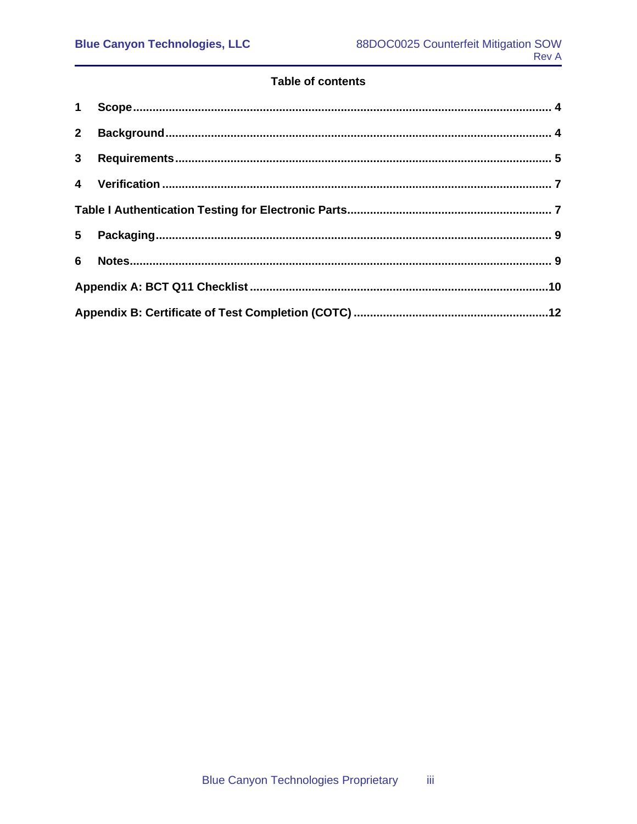#### **Table of contents**

| $2^{\circ}$    |  |
|----------------|--|
| 3 <sup>1</sup> |  |
|                |  |
|                |  |
| $5^{\circ}$    |  |
| 6              |  |
|                |  |
|                |  |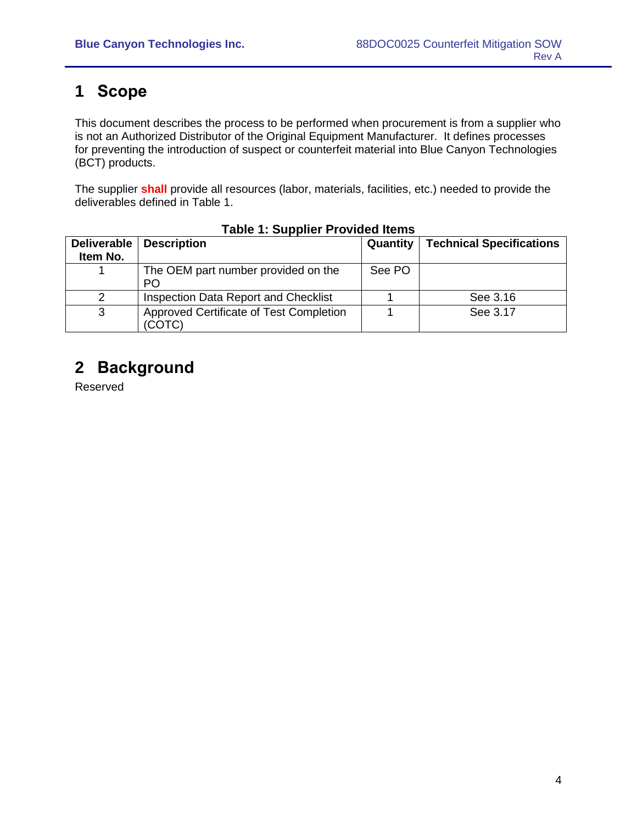### <span id="page-3-0"></span>**1 Scope**

This document describes the process to be performed when procurement is from a supplier who is not an Authorized Distributor of the Original Equipment Manufacturer. It defines processes for preventing the introduction of suspect or counterfeit material into Blue Canyon Technologies (BCT) products.

The supplier **shall** provide all resources (labor, materials, facilities, etc.) needed to provide the deliverables defined in Table 1.

| <b>Deliverable</b><br>Item No. | <b>Description</b>                                | Quantity | <b>Technical Specifications</b> |
|--------------------------------|---------------------------------------------------|----------|---------------------------------|
|                                | The OEM part number provided on the<br>PO         | See PO   |                                 |
|                                | Inspection Data Report and Checklist              |          | See 3.16                        |
| 3                              | Approved Certificate of Test Completion<br>(COTC) |          | See 3.17                        |

#### **Table 1: Supplier Provided Items**

### <span id="page-3-1"></span>**2 Background**

Reserved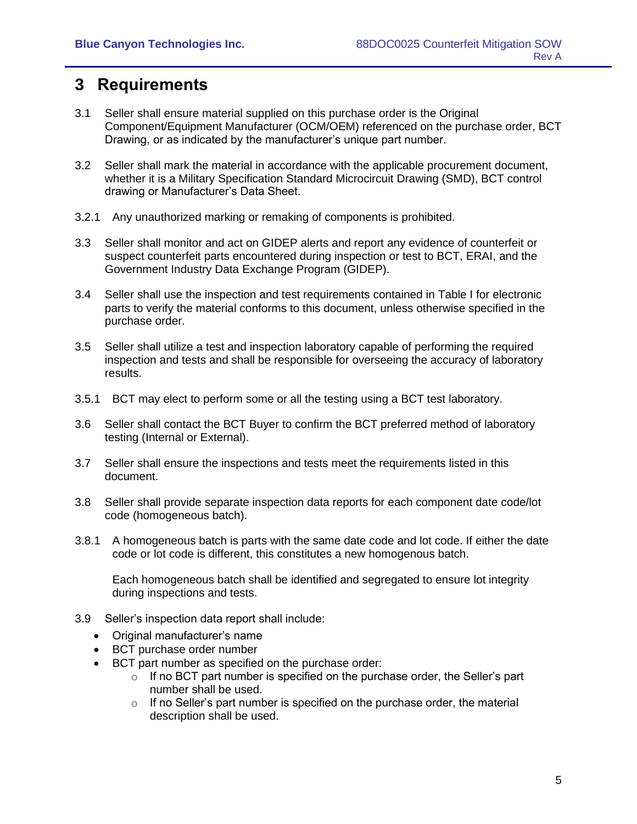### <span id="page-4-0"></span>**3 Requirements**

- 3.1 Seller shall ensure material supplied on this purchase order is the Original Component/Equipment Manufacturer (OCM/OEM) referenced on the purchase order, BCT Drawing, or as indicated by the manufacturer's unique part number.
- 3.2 Seller shall mark the material in accordance with the applicable procurement document, whether it is a Military Specification Standard Microcircuit Drawing (SMD), BCT control drawing or Manufacturer's Data Sheet.
- 3.2.1 Any unauthorized marking or remaking of components is prohibited.
- 3.3 Seller shall monitor and act on GIDEP alerts and report any evidence of counterfeit or suspect counterfeit parts encountered during inspection or test to BCT, ERAI, and the Government Industry Data Exchange Program (GIDEP).
- 3.4 Seller shall use the inspection and test requirements contained in Table I for electronic parts to verify the material conforms to this document, unless otherwise specified in the purchase order.
- 3.5 Seller shall utilize a test and inspection laboratory capable of performing the required inspection and tests and shall be responsible for overseeing the accuracy of laboratory results.
- 3.5.1 BCT may elect to perform some or all the testing using a BCT test laboratory.
- 3.6 Seller shall contact the BCT Buyer to confirm the BCT preferred method of laboratory testing (Internal or External).
- 3.7 Seller shall ensure the inspections and tests meet the requirements listed in this document.
- 3.8 Seller shall provide separate inspection data reports for each component date code/lot code (homogeneous batch).
- 3.8.1 A homogeneous batch is parts with the same date code and lot code. If either the date code or lot code is different, this constitutes a new homogenous batch.

Each homogeneous batch shall be identified and segregated to ensure lot integrity during inspections and tests.

- 3.9 Seller's inspection data report shall include:
	- Original manufacturer's name
	- BCT purchase order number
	- BCT part number as specified on the purchase order:
		- $\circ$  If no BCT part number is specified on the purchase order, the Seller's part number shall be used.
		- $\circ$  If no Seller's part number is specified on the purchase order, the material description shall be used.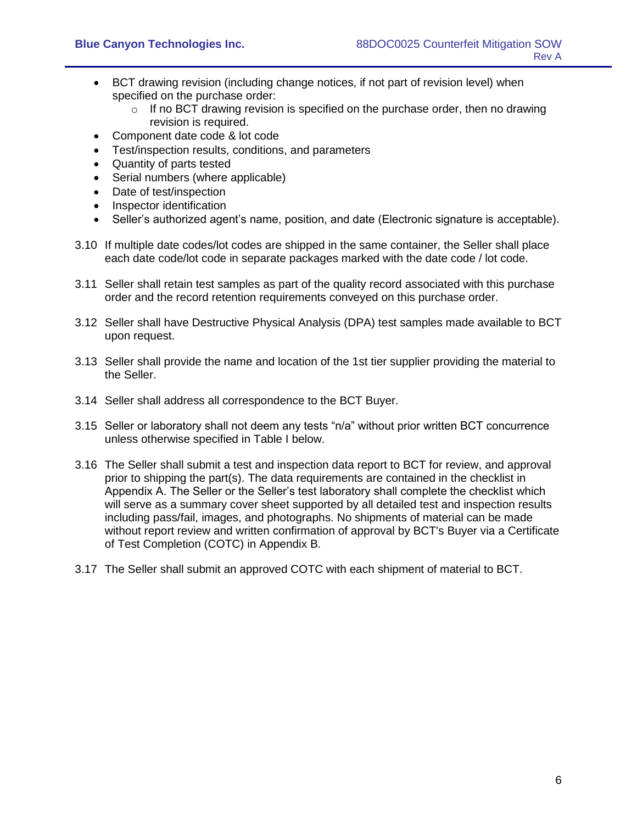- BCT drawing revision (including change notices, if not part of revision level) when specified on the purchase order:
	- $\circ$  If no BCT drawing revision is specified on the purchase order, then no drawing revision is required.
- Component date code & lot code
- Test/inspection results, conditions, and parameters
- Quantity of parts tested
- Serial numbers (where applicable)
- Date of test/inspection
- Inspector identification
- Seller's authorized agent's name, position, and date (Electronic signature is acceptable).
- 3.10 If multiple date codes/lot codes are shipped in the same container, the Seller shall place each date code/lot code in separate packages marked with the date code / lot code.
- 3.11 Seller shall retain test samples as part of the quality record associated with this purchase order and the record retention requirements conveyed on this purchase order.
- 3.12 Seller shall have Destructive Physical Analysis (DPA) test samples made available to BCT upon request.
- 3.13 Seller shall provide the name and location of the 1st tier supplier providing the material to the Seller.
- 3.14 Seller shall address all correspondence to the BCT Buyer.
- 3.15 Seller or laboratory shall not deem any tests "n/a" without prior written BCT concurrence unless otherwise specified in Table I below.
- 3.16 The Seller shall submit a test and inspection data report to BCT for review, and approval prior to shipping the part(s). The data requirements are contained in the checklist in Appendix A. The Seller or the Seller's test laboratory shall complete the checklist which will serve as a summary cover sheet supported by all detailed test and inspection results including pass/fail, images, and photographs. No shipments of material can be made without report review and written confirmation of approval by BCT's Buyer via a Certificate of Test Completion (COTC) in Appendix B.
- 3.17 The Seller shall submit an approved COTC with each shipment of material to BCT.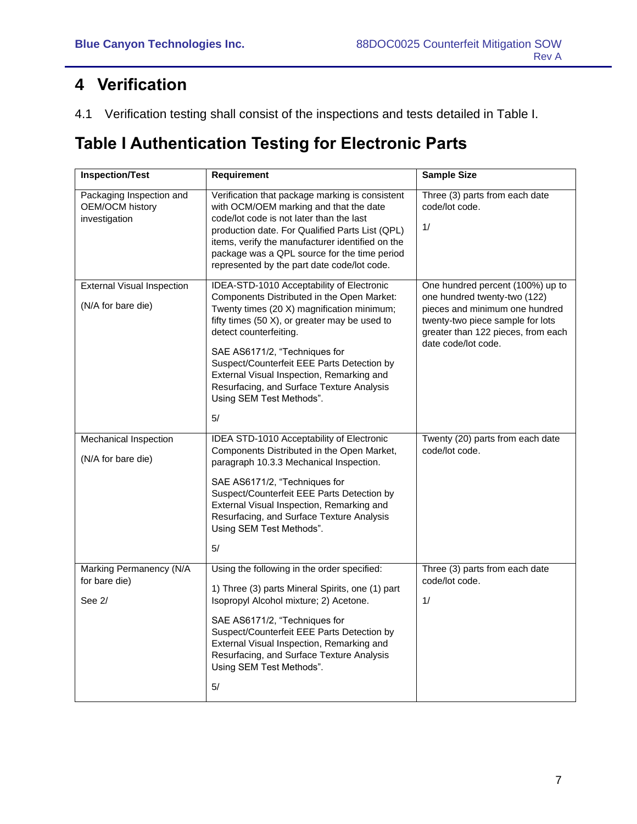## <span id="page-6-0"></span>**4 Verification**

4.1 Verification testing shall consist of the inspections and tests detailed in Table I.

### <span id="page-6-1"></span>**Table I Authentication Testing for Electronic Parts**

| <b>Inspection/Test</b>                                       | Requirement                                                                                                                                                                                                                                                                                                                                                                                                                 | <b>Sample Size</b>                                                                                                                                                                                  |
|--------------------------------------------------------------|-----------------------------------------------------------------------------------------------------------------------------------------------------------------------------------------------------------------------------------------------------------------------------------------------------------------------------------------------------------------------------------------------------------------------------|-----------------------------------------------------------------------------------------------------------------------------------------------------------------------------------------------------|
| Packaging Inspection and<br>OEM/OCM history<br>investigation | Verification that package marking is consistent<br>with OCM/OEM marking and that the date<br>code/lot code is not later than the last<br>production date. For Qualified Parts List (QPL)<br>items, verify the manufacturer identified on the<br>package was a QPL source for the time period<br>represented by the part date code/lot code.                                                                                 | Three (3) parts from each date<br>code/lot code.<br>1/                                                                                                                                              |
| <b>External Visual Inspection</b><br>(N/A for bare die)      | IDEA-STD-1010 Acceptability of Electronic<br>Components Distributed in the Open Market:<br>Twenty times (20 X) magnification minimum;<br>fifty times (50 X), or greater may be used to<br>detect counterfeiting.<br>SAE AS6171/2, "Techniques for<br>Suspect/Counterfeit EEE Parts Detection by<br>External Visual Inspection, Remarking and<br>Resurfacing, and Surface Texture Analysis<br>Using SEM Test Methods".<br>5/ | One hundred percent (100%) up to<br>one hundred twenty-two (122)<br>pieces and minimum one hundred<br>twenty-two piece sample for lots<br>greater than 122 pieces, from each<br>date code/lot code. |
| Mechanical Inspection<br>(N/A for bare die)                  | IDEA STD-1010 Acceptability of Electronic<br>Components Distributed in the Open Market,<br>paragraph 10.3.3 Mechanical Inspection.<br>SAE AS6171/2, "Techniques for<br>Suspect/Counterfeit EEE Parts Detection by<br>External Visual Inspection, Remarking and<br>Resurfacing, and Surface Texture Analysis<br>Using SEM Test Methods".<br>5/                                                                               | Twenty (20) parts from each date<br>code/lot code.                                                                                                                                                  |
| Marking Permanency (N/A<br>for bare die)<br>See 2/           | Using the following in the order specified:<br>1) Three (3) parts Mineral Spirits, one (1) part<br>Isopropyl Alcohol mixture; 2) Acetone.<br>SAE AS6171/2, "Techniques for<br>Suspect/Counterfeit EEE Parts Detection by<br>External Visual Inspection, Remarking and<br>Resurfacing, and Surface Texture Analysis<br>Using SEM Test Methods".<br>5/                                                                        | Three (3) parts from each date<br>code/lot code.<br>1/                                                                                                                                              |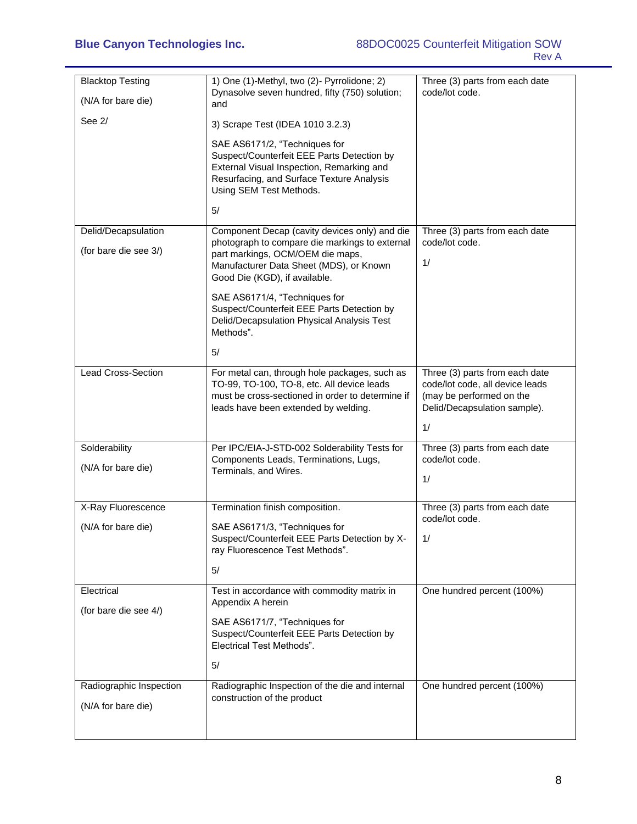| <b>Blacktop Testing</b><br>(N/A for bare die) | 1) One (1)-Methyl, two (2)- Pyrrolidone; 2)<br>Dynasolve seven hundred, fifty (750) solution;<br>and                                                                                                   | Three (3) parts from each date<br>code/lot code.                                                                                    |
|-----------------------------------------------|--------------------------------------------------------------------------------------------------------------------------------------------------------------------------------------------------------|-------------------------------------------------------------------------------------------------------------------------------------|
| See 2/                                        | 3) Scrape Test (IDEA 1010 3.2.3)                                                                                                                                                                       |                                                                                                                                     |
|                                               | SAE AS6171/2, "Techniques for<br>Suspect/Counterfeit EEE Parts Detection by<br>External Visual Inspection, Remarking and<br>Resurfacing, and Surface Texture Analysis<br>Using SEM Test Methods.<br>5/ |                                                                                                                                     |
| Delid/Decapsulation                           | Component Decap (cavity devices only) and die                                                                                                                                                          | Three (3) parts from each date                                                                                                      |
| (for bare die see 3/)                         | photograph to compare die markings to external<br>part markings, OCM/OEM die maps,<br>Manufacturer Data Sheet (MDS), or Known<br>Good Die (KGD), if available.                                         | code/lot code.<br>1/                                                                                                                |
|                                               | SAE AS6171/4, "Techniques for<br>Suspect/Counterfeit EEE Parts Detection by<br>Delid/Decapsulation Physical Analysis Test<br>Methods".                                                                 |                                                                                                                                     |
|                                               | 5/                                                                                                                                                                                                     |                                                                                                                                     |
| <b>Lead Cross-Section</b>                     | For metal can, through hole packages, such as<br>TO-99, TO-100, TO-8, etc. All device leads<br>must be cross-sectioned in order to determine if<br>leads have been extended by welding.                | Three (3) parts from each date<br>code/lot code, all device leads<br>(may be performed on the<br>Delid/Decapsulation sample).<br>1/ |
| Solderability                                 | Per IPC/EIA-J-STD-002 Solderability Tests for                                                                                                                                                          | Three (3) parts from each date                                                                                                      |
| (N/A for bare die)                            | Components Leads, Terminations, Lugs,<br>Terminals, and Wires.                                                                                                                                         | code/lot code.<br>1/                                                                                                                |
| X-Ray Fluorescence                            | Termination finish composition.                                                                                                                                                                        | Three (3) parts from each date                                                                                                      |
| (N/A for bare die)                            | SAE AS6171/3, "Techniques for<br>Suspect/Counterfeit EEE Parts Detection by X-<br>ray Fluorescence Test Methods".                                                                                      | code/lot code.<br>1/                                                                                                                |
|                                               | 5/                                                                                                                                                                                                     |                                                                                                                                     |
| Electrical                                    | Test in accordance with commodity matrix in<br>Appendix A herein                                                                                                                                       | One hundred percent (100%)                                                                                                          |
| (for bare die see 4/)                         | SAE AS6171/7, "Techniques for<br>Suspect/Counterfeit EEE Parts Detection by<br><b>Electrical Test Methods".</b>                                                                                        |                                                                                                                                     |
|                                               | 5/                                                                                                                                                                                                     |                                                                                                                                     |
| Radiographic Inspection<br>(N/A for bare die) | Radiographic Inspection of the die and internal<br>construction of the product                                                                                                                         | One hundred percent (100%)                                                                                                          |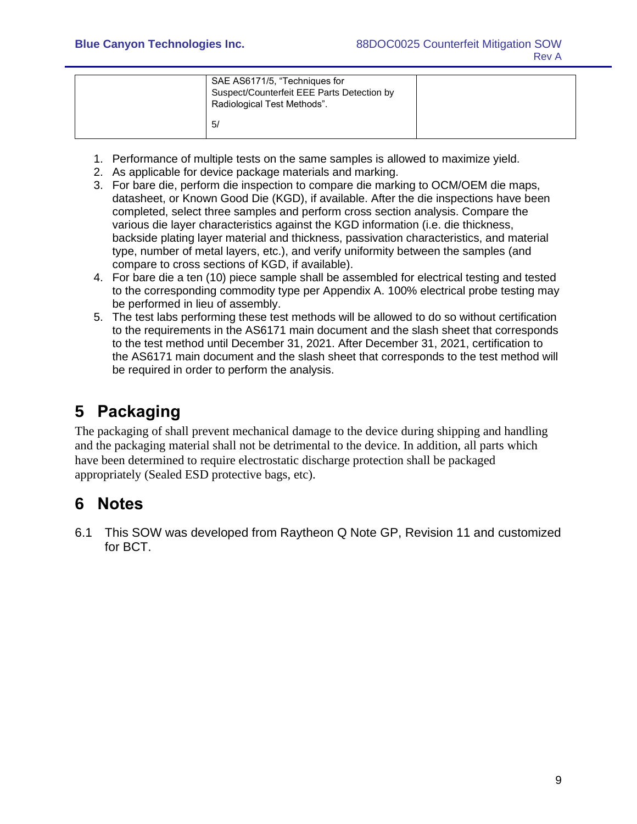| SAE AS6171/5, "Techniques for<br>Suspect/Counterfeit EEE Parts Detection by<br>Radiological Test Methods". |  |
|------------------------------------------------------------------------------------------------------------|--|
| 5/                                                                                                         |  |

- 1. Performance of multiple tests on the same samples is allowed to maximize yield.
- 2. As applicable for device package materials and marking.
- 3. For bare die, perform die inspection to compare die marking to OCM/OEM die maps, datasheet, or Known Good Die (KGD), if available. After the die inspections have been completed, select three samples and perform cross section analysis. Compare the various die layer characteristics against the KGD information (i.e. die thickness, backside plating layer material and thickness, passivation characteristics, and material type, number of metal layers, etc.), and verify uniformity between the samples (and compare to cross sections of KGD, if available).
- 4. For bare die a ten (10) piece sample shall be assembled for electrical testing and tested to the corresponding commodity type per Appendix A. 100% electrical probe testing may be performed in lieu of assembly.
- 5. The test labs performing these test methods will be allowed to do so without certification to the requirements in the AS6171 main document and the slash sheet that corresponds to the test method until December 31, 2021. After December 31, 2021, certification to the AS6171 main document and the slash sheet that corresponds to the test method will be required in order to perform the analysis.

## <span id="page-8-0"></span>**5 Packaging**

The packaging of shall prevent mechanical damage to the device during shipping and handling and the packaging material shall not be detrimental to the device. In addition, all parts which have been determined to require electrostatic discharge protection shall be packaged appropriately (Sealed ESD protective bags, etc).

### <span id="page-8-1"></span>**6 Notes**

6.1 This SOW was developed from Raytheon Q Note GP, Revision 11 and customized for BCT.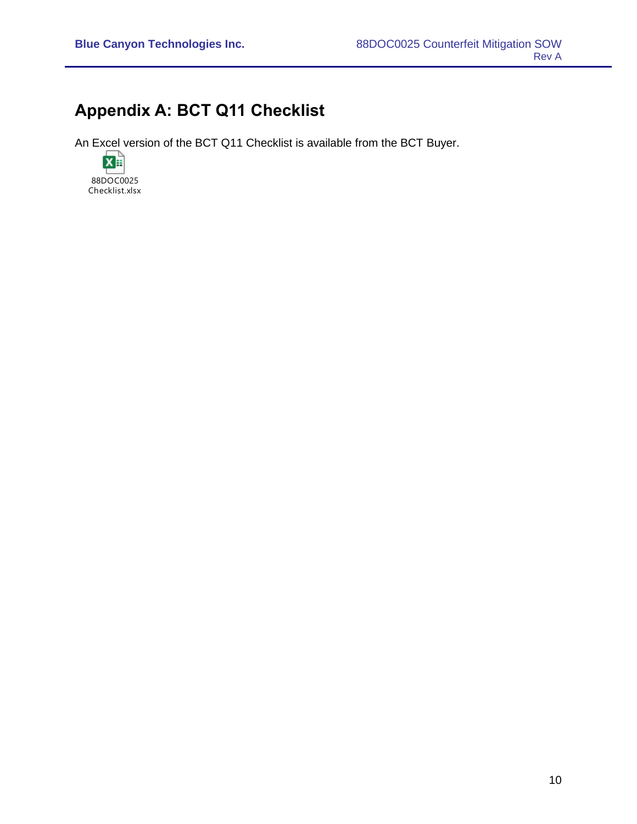### <span id="page-9-0"></span>**Appendix A: BCT Q11 Checklist**

An Excel version of the BCT Q11 Checklist is available from the BCT Buyer.

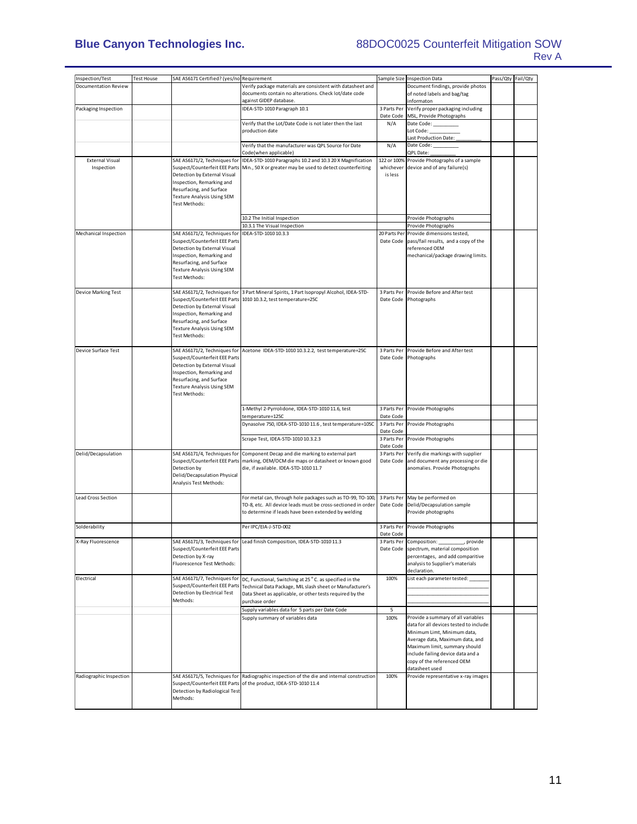#### **Blue Canyon Technologies Inc.** 88DOC0025 Counterfeit Mitigation SOW Rev A

| Inspection/Test                      | <b>Test House</b> | SAE AS6171 Certified? (yes/no]Requirement                                                                                                                                            |                                                                                                                                                                                  |                                     | Sample Size Inspection Data                                                                                                                                                                                                                                           | Pass/Qty Fail/Qty |  |
|--------------------------------------|-------------------|--------------------------------------------------------------------------------------------------------------------------------------------------------------------------------------|----------------------------------------------------------------------------------------------------------------------------------------------------------------------------------|-------------------------------------|-----------------------------------------------------------------------------------------------------------------------------------------------------------------------------------------------------------------------------------------------------------------------|-------------------|--|
| <b>Documentation Review</b>          |                   |                                                                                                                                                                                      | Verify package materials are consistent with datasheet and                                                                                                                       |                                     | Document findings, provide photos                                                                                                                                                                                                                                     |                   |  |
|                                      |                   |                                                                                                                                                                                      | documents contain no alterations. Check lot/date code<br>against GIDEP database.                                                                                                 |                                     | of noted labels and bag/tag<br>informaton                                                                                                                                                                                                                             |                   |  |
| Packaging Inspection                 |                   |                                                                                                                                                                                      | IDEA-STD-1010 Paragraph 10.1                                                                                                                                                     | 3 Parts Per                         | Verify proper packaging including                                                                                                                                                                                                                                     |                   |  |
|                                      |                   |                                                                                                                                                                                      |                                                                                                                                                                                  | Date Code                           | MSL, Provide Photographs                                                                                                                                                                                                                                              |                   |  |
|                                      |                   |                                                                                                                                                                                      | Verify that the Lot/Date Code is not later then the last                                                                                                                         | N/A                                 | Date Code:                                                                                                                                                                                                                                                            |                   |  |
|                                      |                   |                                                                                                                                                                                      | production date                                                                                                                                                                  |                                     | Lot Code:<br>Last Production Date:                                                                                                                                                                                                                                    |                   |  |
|                                      |                   |                                                                                                                                                                                      | Verify that the manufacturer was QPL Source for Date                                                                                                                             | N/A                                 | Date Code:                                                                                                                                                                                                                                                            |                   |  |
|                                      |                   |                                                                                                                                                                                      | Code(when applicable)                                                                                                                                                            |                                     | QPL Date:                                                                                                                                                                                                                                                             |                   |  |
| <b>External Visual</b><br>Inspection |                   | SAE AS6171/2, Techniques for<br>Suspect/Counterfeit EEE Parts<br>Detection by External Visual<br>Inspection, Remarking and<br>Resurfacing, and Surface<br>Texture Analysis Using SEM | IDEA-STD-1010 Paragraphs 10.2 and 10.3 20 X Magnification<br>Min., 50 X or greater may be used to detect counterfeiting                                                          | 122 or 100%<br>whichever<br>is less | Provide Photographs of a sample<br>device and of any failure(s)                                                                                                                                                                                                       |                   |  |
|                                      |                   | Test Methods:                                                                                                                                                                        | 10.2 The Initial Inspection                                                                                                                                                      |                                     | Provide Photographs                                                                                                                                                                                                                                                   |                   |  |
|                                      |                   |                                                                                                                                                                                      | 10.3.1 The Visual Inspection                                                                                                                                                     |                                     | Provide Photographs                                                                                                                                                                                                                                                   |                   |  |
| Mechanical Inspection                |                   | SAE AS6171/2, Techniques for                                                                                                                                                         | IDEA-STD-1010 10.3.3                                                                                                                                                             |                                     | 20 Parts Per Provide dimensions tested,                                                                                                                                                                                                                               |                   |  |
|                                      |                   | Suspect/Counterfeit EEE Parts<br>Detection by External Visual<br>Inspection, Remarking and<br>Resurfacing, and Surface<br>Texture Analysis Using SEM<br>Test Methods:                |                                                                                                                                                                                  | Date Code                           | pass/fail results, and a copy of the<br>referenced OEM<br>mechanical/package drawing limits.                                                                                                                                                                          |                   |  |
| <b>Device Marking Test</b>           |                   | SAE AS6171/2, Techniques for                                                                                                                                                         | 3 Part Mineral Spirits, 1 Part Isopropyl Alcohol, IDEA-STD-                                                                                                                      | 3 Parts Per                         | Provide Before and After test                                                                                                                                                                                                                                         |                   |  |
|                                      |                   | Suspect/Counterfeit EEE Parts<br>Detection by External Visual<br>Inspection, Remarking and<br>Resurfacing, and Surface<br><b>Texture Analysis Using SEM</b><br>Test Methods:         | 1010 10.3.2, test temperature=25C                                                                                                                                                |                                     | Date Code Photographs                                                                                                                                                                                                                                                 |                   |  |
| Device Surface Test                  |                   | SAE AS6171/2, Techniques for                                                                                                                                                         | Acetone IDEA-STD-1010 10.3.2.2, test temperature=25C                                                                                                                             | 3 Parts Per                         | Provide Before and After test                                                                                                                                                                                                                                         |                   |  |
|                                      |                   | Suspect/Counterfeit EEE Parts<br>Detection by External Visual<br>Inspection, Remarking and<br>Resurfacing, and Surface<br><b>Texture Analysis Using SEM</b><br>Test Methods:         |                                                                                                                                                                                  | Date Code                           | Photographs                                                                                                                                                                                                                                                           |                   |  |
|                                      |                   |                                                                                                                                                                                      | 1-Methyl 2-Pyrrolidone, IDEA-STD-1010 11.6, test<br>temperature=125C                                                                                                             | 3 Parts Per<br>Date Code            | Provide Photographs                                                                                                                                                                                                                                                   |                   |  |
|                                      |                   |                                                                                                                                                                                      | Dynasolve 750, IDEA-STD-1010 11.6, test temperature=105C                                                                                                                         | 3 Parts Per<br>Date Code            | Provide Photographs                                                                                                                                                                                                                                                   |                   |  |
|                                      |                   |                                                                                                                                                                                      | Scrape Test, IDEA-STD-1010 10.3.2.3                                                                                                                                              | 3 Parts Per                         | Provide Photographs                                                                                                                                                                                                                                                   |                   |  |
|                                      |                   |                                                                                                                                                                                      |                                                                                                                                                                                  | Date Code                           |                                                                                                                                                                                                                                                                       |                   |  |
| Delid/Decapsulation                  |                   | SAE AS6171/4, Techniques for<br>Detection by<br>Delid/Decapsulation Physical<br>Analysis Test Methods:                                                                               | Component Decap and die marking to external part<br>Suspect/Counterfeit EEE Parts marking, OEM/OCM die maps or datasheet or known good<br>die, if available. IDEA-STD-1010 11.7  | 3 Parts Per<br>Date Code            | Verify die markings with supplier<br>and document any processing or die<br>anomalies. Provide Photographs                                                                                                                                                             |                   |  |
| Lead Cross Section                   |                   |                                                                                                                                                                                      | For metal can, through hole packages such as TO-99, TO-100,                                                                                                                      | 3 Parts Per                         | May be performed on                                                                                                                                                                                                                                                   |                   |  |
|                                      |                   |                                                                                                                                                                                      | TO-8, etc. All device leads must be cross-sectioned in order<br>to determine if leads have been extended by welding                                                              | Date Code                           | Delid/Decapsulation sample<br>Provide photographs                                                                                                                                                                                                                     |                   |  |
| Solderability                        |                   |                                                                                                                                                                                      | Per IPC/EIA-J-STD-002                                                                                                                                                            | 3 Parts Per<br>Date Code            | Provide Photographs                                                                                                                                                                                                                                                   |                   |  |
| X-Ray Fluorescence                   |                   | Suspect/Counterfeit EEE Parts<br>Detection by X-ray<br>Fluorescence Test Methods:                                                                                                    | SAE AS6171/3, Techniques for Lead finish Composition, IDEA-STD-1010 11.3                                                                                                         |                                     | 3 Parts Per Composition: ____________, provide<br>Date Code spectrum, material composition<br>percentages, and add comparitive<br>analysis to Supplier's materials<br>declaration.                                                                                    |                   |  |
| Electrical                           |                   | SAE AS6171/7, Techniques for<br>Suspect/Counterfeit EEE Parts<br>Detection by Electrical Test<br>Methods:                                                                            | DC, Functional, Switching at 25 °C. as specified in the<br>Technical Data Package, MIL slash sheet or Manufacturer's<br>Data Sheet as applicable, or other tests required by the | 100%                                | List each parameter tested:                                                                                                                                                                                                                                           |                   |  |
|                                      |                   |                                                                                                                                                                                      | purchase order                                                                                                                                                                   |                                     |                                                                                                                                                                                                                                                                       |                   |  |
|                                      |                   |                                                                                                                                                                                      | Supply variables data for 5 parts per Date Code<br>Supply summary of variables data                                                                                              | 5<br>100%                           | Provide a summary of all variables<br>data for all devices tested to include:<br>Minimum Limt, Minimum data,<br>Average data, Maximum data, and<br>Maximum limit, summary should<br>include failing device data and a<br>copy of the referenced OEM<br>datasheet used |                   |  |
| Radiographic Inspection              |                   | SAE AS6171/5, Techniques for<br>Suspect/Counterfeit EEE Parts<br>Detection by Radiological Test<br>Methods:                                                                          | Radiographic inspection of the die and internal construction<br>of the product, IDEA-STD-1010 11.4                                                                               | 100%                                | Provide representative x-ray images                                                                                                                                                                                                                                   |                   |  |